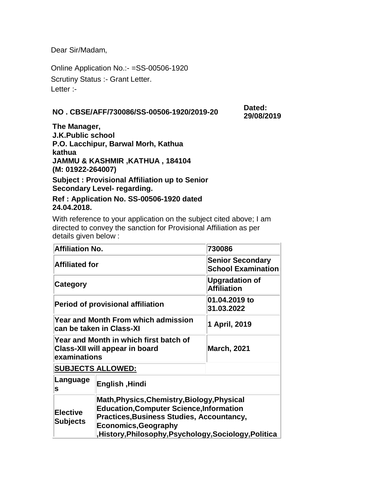Dear Sir/Madam,

Online Application No.:- =SS-00506-1920 Scrutiny Status :- Grant Letter. Letter :-

## **NO . CBSE/AFF/730086/SS-00506-1920/2019-20 Dated:**

**29/08/2019**

**The Manager, J.K.Public school P.O. Lacchipur, Barwal Morh, Kathua kathua JAMMU & KASHMIR ,KATHUA , 184104 (M: 01922-264007) Subject : Provisional Affiliation up to Senior Secondary Level- regarding.**

**Ref : Application No. SS-00506-1920 dated 24.04.2018.**

With reference to your application on the subject cited above; I am directed to convey the sanction for Provisional Affiliation as per details given below :

| <b>Affiliation No.</b>             |                                                                                                                                                                                                                                            | 730086                                               |  |  |  |
|------------------------------------|--------------------------------------------------------------------------------------------------------------------------------------------------------------------------------------------------------------------------------------------|------------------------------------------------------|--|--|--|
| <b>Affiliated for</b>              |                                                                                                                                                                                                                                            | <b>Senior Secondary</b><br><b>School Examination</b> |  |  |  |
| <b>Category</b>                    |                                                                                                                                                                                                                                            | <b>Upgradation of</b><br><b>Affiliation</b>          |  |  |  |
|                                    | <b>Period of provisional affiliation</b>                                                                                                                                                                                                   | 01.04.2019 to<br>31.03.2022                          |  |  |  |
|                                    | <b>Year and Month From which admission</b><br>can be taken in Class-XI                                                                                                                                                                     | 1 April, 2019                                        |  |  |  |
| examinations                       | Year and Month in which first batch of<br>Class-XII will appear in board                                                                                                                                                                   | <b>March, 2021</b>                                   |  |  |  |
| <b>SUBJECTS ALLOWED:</b>           |                                                                                                                                                                                                                                            |                                                      |  |  |  |
| Language<br>s                      | English, Hindi                                                                                                                                                                                                                             |                                                      |  |  |  |
| <b>Elective</b><br><b>Subjects</b> | Math, Physics, Chemistry, Biology, Physical<br><b>Education, Computer Science, Information</b><br><b>Practices, Business Studies, Accountancy,</b><br><b>Economics, Geography</b><br>History, Philosophy, Psychology, Sociology, Politica, |                                                      |  |  |  |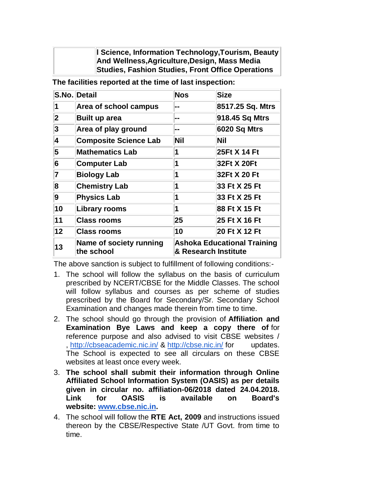**l Science, Information Technology,Tourism, Beauty And Wellness,Agriculture,Design, Mass Media Studies, Fashion Studies, Front Office Operations**

|                 | S.No. Detail                          | <b>Nos</b>                                                 | <b>Size</b>      |
|-----------------|---------------------------------------|------------------------------------------------------------|------------------|
| 1               | Area of school campus                 |                                                            | 8517.25 Sq. Mtrs |
| $\overline{2}$  | <b>Built up area</b>                  | --                                                         | 918.45 Sq Mtrs   |
| 3               | Area of play ground                   | --                                                         | 6020 Sq Mtrs     |
| 4               | <b>Composite Science Lab</b>          | <b>Nil</b>                                                 | Nil              |
| 5               | <b>Mathematics Lab</b>                | 1                                                          | 25Ft X 14 Ft     |
| 6               | <b>Computer Lab</b>                   | 1                                                          | 32Ft X 20Ft      |
| 7               | <b>Biology Lab</b>                    | 1                                                          | 32Ft X 20 Ft     |
| 8               | <b>Chemistry Lab</b>                  | 1                                                          | 33 Ft X 25 Ft    |
| 9               | <b>Physics Lab</b>                    | 1                                                          | 33 Ft X 25 Ft    |
| 10              | <b>Library rooms</b>                  | 1                                                          | 88 Ft X 15 Ft    |
| 11              | <b>Class rooms</b>                    | 25                                                         | 25 Ft X 16 Ft    |
| 12 <sub>2</sub> | <b>Class rooms</b>                    | 10                                                         | 20 Ft X 12 Ft    |
| 13              | Name of society running<br>the school | <b>Ashoka Educational Training</b><br>& Research Institute |                  |

**The facilities reported at the time of last inspection:**

The above sanction is subject to fulfillment of following conditions:-

- 1. The school will follow the syllabus on the basis of curriculum prescribed by NCERT/CBSE for the Middle Classes. The school will follow syllabus and courses as per scheme of studies prescribed by the Board for Secondary/Sr. Secondary School Examination and changes made therein from time to time.
- 2. The school should go through the provision of **Affiliation and Examination Bye Laws and keep a copy there of** for reference purpose and also advised to visit CBSE websites / , <http://cbseacademic.nic.in/> & <http://cbse.nic.in/> for updates. The School is expected to see all circulars on these CBSE websites at least once every week.
- 3. **The school shall submit their information through Online Affiliated School Information System (OASIS) as per details given in circular no. affiliation-06/2018 dated 24.04.2018. Link for OASIS is available on Board's website: [www.cbse.nic.in.](http://www.cbse.nic.in/)**
- 4. The school will follow the **RTE Act, 2009** and instructions issued thereon by the CBSE/Respective State /UT Govt. from time to time.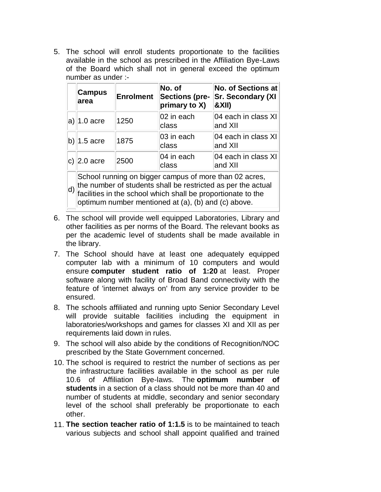5. The school will enroll students proportionate to the facilities available in the school as prescribed in the Affiliation Bye-Laws of the Board which shall not in general exceed the optimum number as under :-

|             | <b>Campus</b><br>area                                                                                                                                                                                                                         | <b>Enrolment</b> | No. of<br><b>Sections (pre-</b><br>primary to X) | <b>No. of Sections at</b><br><b>Sr. Secondary (XI</b><br><b>&amp;XII)</b> |  |  |  |
|-------------|-----------------------------------------------------------------------------------------------------------------------------------------------------------------------------------------------------------------------------------------------|------------------|--------------------------------------------------|---------------------------------------------------------------------------|--|--|--|
|             | $ a $ 1.0 acre                                                                                                                                                                                                                                | 1250             | 02 in each<br>class                              | 04 each in class XI<br>and XII                                            |  |  |  |
|             | $ b\rangle 1.5$ acre                                                                                                                                                                                                                          | 1875             | 03 in each<br>class                              | 04 each in class XI<br>and XII                                            |  |  |  |
|             | $ c $ 2.0 acre                                                                                                                                                                                                                                | 2500             | 04 in each<br>class                              | 04 each in class XI<br>and XII                                            |  |  |  |
| $ d\rangle$ | School running on bigger campus of more than 02 acres,<br>the number of students shall be restricted as per the actual<br>facilities in the school which shall be proportionate to the<br>optimum number mentioned at (a), (b) and (c) above. |                  |                                                  |                                                                           |  |  |  |

- 6. The school will provide well equipped Laboratories, Library and other facilities as per norms of the Board. The relevant books as per the academic level of students shall be made available in the library.
- 7. The School should have at least one adequately equipped computer lab with a minimum of 10 computers and would ensure **computer student ratio of 1:20** at least. Proper software along with facility of Broad Band connectivity with the feature of 'internet always on' from any service provider to be ensured.
- 8. The schools affiliated and running upto Senior Secondary Level will provide suitable facilities including the equipment in laboratories/workshops and games for classes XI and XII as per requirements laid down in rules.
- 9. The school will also abide by the conditions of Recognition/NOC prescribed by the State Government concerned.
- 10. The school is required to restrict the number of sections as per the infrastructure facilities available in the school as per rule 10.6 of Affiliation Bye-laws. The **optimum number of students** in a section of a class should not be more than 40 and number of students at middle, secondary and senior secondary level of the school shall preferably be proportionate to each other.
- 11. **The section teacher ratio of 1:1.5** is to be maintained to teach various subjects and school shall appoint qualified and trained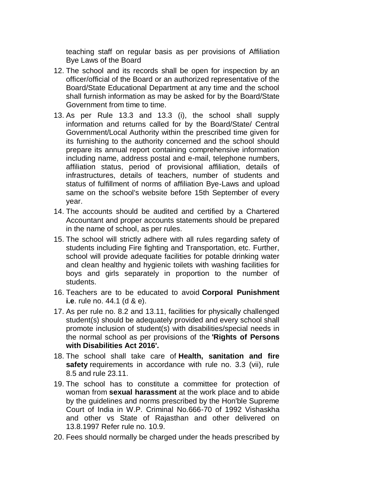teaching staff on regular basis as per provisions of Affiliation Bye Laws of the Board

- 12. The school and its records shall be open for inspection by an officer/official of the Board or an authorized representative of the Board/State Educational Department at any time and the school shall furnish information as may be asked for by the Board/State Government from time to time.
- 13. As per Rule 13.3 and 13.3 (i), the school shall supply information and returns called for by the Board/State/ Central Government/Local Authority within the prescribed time given for its furnishing to the authority concerned and the school should prepare its annual report containing comprehensive information including name, address postal and e-mail, telephone numbers, affiliation status, period of provisional affiliation, details of infrastructures, details of teachers, number of students and status of fulfillment of norms of affiliation Bye-Laws and upload same on the school's website before 15th September of every year.
- 14. The accounts should be audited and certified by a Chartered Accountant and proper accounts statements should be prepared in the name of school, as per rules.
- 15. The school will strictly adhere with all rules regarding safety of students including Fire fighting and Transportation, etc. Further, school will provide adequate facilities for potable drinking water and clean healthy and hygienic toilets with washing facilities for boys and girls separately in proportion to the number of students.
- 16. Teachers are to be educated to avoid **Corporal Punishment i.e**. rule no. 44.1 (d & e).
- 17. As per rule no. 8.2 and 13.11, facilities for physically challenged student(s) should be adequately provided and every school shall promote inclusion of student(s) with disabilities/special needs in the normal school as per provisions of the **'Rights of Persons with Disabilities Act 2016'.**
- 18. The school shall take care of **Health, sanitation and fire safety** requirements in accordance with rule no. 3.3 (vii), rule 8.5 and rule 23.11.
- 19. The school has to constitute a committee for protection of woman from **sexual harassment** at the work place and to abide by the guidelines and norms prescribed by the Hon'ble Supreme Court of India in W.P. Criminal No.666-70 of 1992 Vishaskha and other vs State of Rajasthan and other delivered on 13.8.1997 Refer rule no. 10.9.
- 20. Fees should normally be charged under the heads prescribed by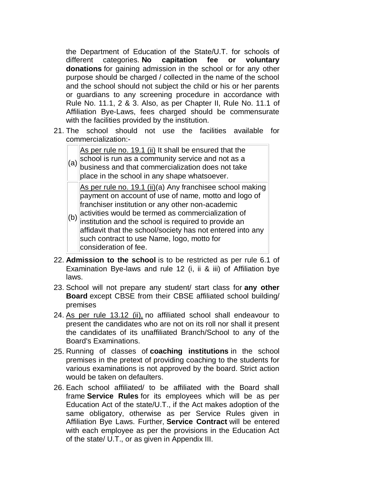the Department of Education of the State/U.T. for schools of different categories. **No capitation fee or voluntary donations** for gaining admission in the school or for any other purpose should be charged / collected in the name of the school and the school should not subject the child or his or her parents or guardians to any screening procedure in accordance with Rule No. 11.1, 2 & 3. Also, as per Chapter II, Rule No. 11.1 of Affiliation Bye-Laws, fees charged should be commensurate with the facilities provided by the institution.

21. The school should not use the facilities available for commercialization:-

As per rule no. 19.1 (ii) It shall be ensured that the

(a) school is run as a community service and not as a business and that commercialization does not take place in the school in any shape whatsoever.

As per rule no. 19.1 (ii)(a) Any franchisee school making payment on account of use of name, motto and logo of franchiser institution or any other non-academic activities would be termed as commercialization of

- (b) institution and the school is required to provide an affidavit that the school/society has not entered into any such contract to use Name, logo, motto for consideration of fee.
- 22. **Admission to the school** is to be restricted as per rule 6.1 of Examination Bye-laws and rule 12 (i, ii & iii) of Affiliation bye laws.
- 23. School will not prepare any student/ start class for **any other Board** except CBSE from their CBSE affiliated school building/ premises
- 24. As per rule 13.12 (ii), no affiliated school shall endeavour to present the candidates who are not on its roll nor shall it present the candidates of its unaffiliated Branch/School to any of the Board's Examinations.
- 25. Running of classes of **coaching institutions** in the school premises in the pretext of providing coaching to the students for various examinations is not approved by the board. Strict action would be taken on defaulters.
- 26. Each school affiliated/ to be affiliated with the Board shall frame **Service Rules** for its employees which will be as per Education Act of the state/U.T., if the Act makes adoption of the same obligatory, otherwise as per Service Rules given in Affiliation Bye Laws. Further, **Service Contract** will be entered with each employee as per the provisions in the Education Act of the state/ U.T., or as given in Appendix III.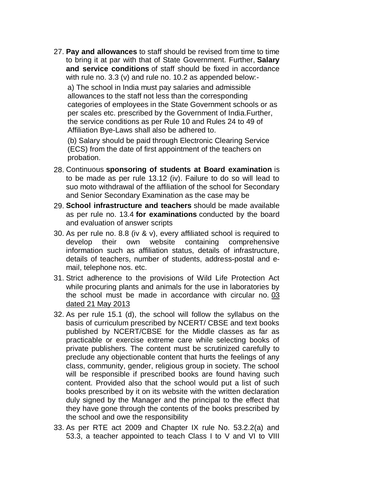27. **Pay and allowances** to staff should be revised from time to time to bring it at par with that of State Government. Further, **Salary and service conditions** of staff should be fixed in accordance with rule no. 3.3 (v) and rule no. 10.2 as appended below: a) The school in India must pay salaries and admissible allowances to the staff not less than the corresponding categories of employees in the State Government schools or as per scales etc. prescribed by the Government of India.Further, the service conditions as per Rule 10 and Rules 24 to 49 of Affiliation Bye-Laws shall also be adhered to.

(b) Salary should be paid through Electronic Clearing Service (ECS) from the date of first appointment of the teachers on probation.

- 28. Continuous **sponsoring of students at Board examination** is to be made as per rule 13.12 (iv). Failure to do so will lead to suo moto withdrawal of the affiliation of the school for Secondary and Senior Secondary Examination as the case may be
- 29. **School infrastructure and teachers** should be made available as per rule no. 13.4 **for examinations** conducted by the board and evaluation of answer scripts
- 30. As per rule no. 8.8 (iv & v), every affiliated school is required to develop their own website containing comprehensive information such as affiliation status, details of infrastructure, details of teachers, number of students, address-postal and email, telephone nos. etc.
- 31. Strict adherence to the provisions of Wild Life Protection Act while procuring plants and animals for the use in laboratories by the school must be made in accordance with circular no. 03 dated 21 May 2013
- 32. As per rule 15.1 (d), the school will follow the syllabus on the basis of curriculum prescribed by NCERT/ CBSE and text books published by NCERT/CBSE for the Middle classes as far as practicable or exercise extreme care while selecting books of private publishers. The content must be scrutinized carefully to preclude any objectionable content that hurts the feelings of any class, community, gender, religious group in society. The school will be responsible if prescribed books are found having such content. Provided also that the school would put a list of such books prescribed by it on its website with the written declaration duly signed by the Manager and the principal to the effect that they have gone through the contents of the books prescribed by the school and owe the responsibility
- 33. As per RTE act 2009 and Chapter IX rule No. 53.2.2(a) and 53.3, a teacher appointed to teach Class I to V and VI to VIII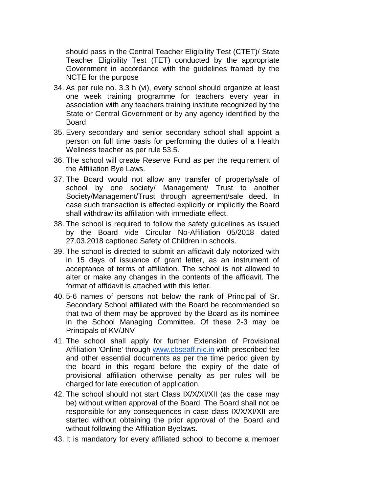should pass in the Central Teacher Eligibility Test (CTET)/ State Teacher Eligibility Test (TET) conducted by the appropriate Government in accordance with the guidelines framed by the NCTE for the purpose

- 34. As per rule no. 3.3 h (vi), every school should organize at least one week training programme for teachers every year in association with any teachers training institute recognized by the State or Central Government or by any agency identified by the Board
- 35. Every secondary and senior secondary school shall appoint a person on full time basis for performing the duties of a Health Wellness teacher as per rule 53.5.
- 36. The school will create Reserve Fund as per the requirement of the Affiliation Bye Laws.
- 37. The Board would not allow any transfer of property/sale of school by one society/ Management/ Trust to another Society/Management/Trust through agreement/sale deed. In case such transaction is effected explicitly or implicitly the Board shall withdraw its affiliation with immediate effect.
- 38. The school is required to follow the safety guidelines as issued by the Board vide Circular No-Affiliation 05/2018 dated 27.03.2018 captioned Safety of Children in schools.
- 39. The school is directed to submit an affidavit duly notorized with in 15 days of issuance of grant letter, as an instrument of acceptance of terms of affiliation. The school is not allowed to alter or make any changes in the contents of the affidavit. The format of affidavit is attached with this letter.
- 40. 5-6 names of persons not below the rank of Principal of Sr. Secondary School affiliated with the Board be recommended so that two of them may be approved by the Board as its nominee in the School Managing Committee. Of these 2-3 may be Principals of KV/JNV
- 41. The school shall apply for further Extension of Provisional Affiliation 'Online' through [www.cbseaff.nic.in](http://www.cbseaff.nic.in/) with prescribed fee and other essential documents as per the time period given by the board in this regard before the expiry of the date of provisional affiliation otherwise penalty as per rules will be charged for late execution of application.
- 42. The school should not start Class IX/X/XI/XII (as the case may be) without written approval of the Board. The Board shall not be responsible for any consequences in case class IX/X/XI/XII are started without obtaining the prior approval of the Board and without following the Affiliation Byelaws.
- 43. It is mandatory for every affiliated school to become a member